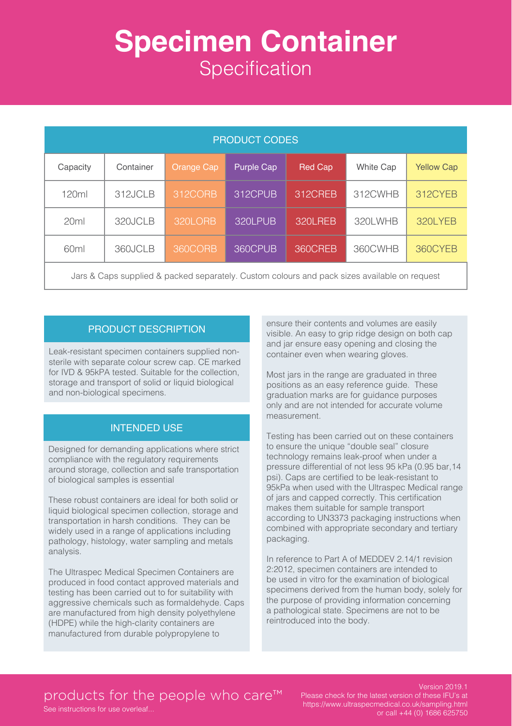# **Specimen Container Specification**

| <b>PRODUCT CODES</b>                                                                         |           |                   |            |                |                  |                   |
|----------------------------------------------------------------------------------------------|-----------|-------------------|------------|----------------|------------------|-------------------|
| Capacity                                                                                     | Container | <b>Orange Cap</b> | Purple Cap | <b>Red Cap</b> | <b>White Cap</b> | <b>Yellow Cap</b> |
| 120ml                                                                                        | 312JCLB   | 312CORB           | 312CPUB    | 312CREB        | 312CWHB          | 312CYEB           |
| 20ml                                                                                         | 320JCLB   | 320LORB           | 320LPUB    | 320LREB        | 320LWHB          | 320LYEB           |
| 60 <sub>ml</sub>                                                                             | 360JCLB   | 360CORB           | 360CPUB    | 360CREB        | 360CWHB          | 360CYEB           |
| Jars & Caps supplied & packed separately. Custom colours and pack sizes available on request |           |                   |            |                |                  |                   |

#### PRODUCT DESCRIPTION

Leak-resistant specimen containers supplied nonsterile with separate colour screw cap. CE marked for IVD & 95kPA tested. Suitable for the collection, storage and transport of solid or liquid biological and non-biological specimens.

#### INTENDED USE

Designed for demanding applications where strict compliance with the regulatory requirements around storage, collection and safe transportation of biological samples is essential

These robust containers are ideal for both solid or liquid biological specimen collection, storage and transportation in harsh conditions. They can be widely used in a range of applications including pathology, histology, water sampling and metals analysis.

The Ultraspec Medical Specimen Containers are produced in food contact approved materials and testing has been carried out to for suitability with aggressive chemicals such as formaldehyde. Caps are manufactured from high density polyethylene (HDPE) while the high-clarity containers are manufactured from durable polypropylene to

ensure their contents and volumes are easily visible. An easy to grip ridge design on both cap and jar ensure easy opening and closing the container even when wearing gloves.

Most jars in the range are graduated in three positions as an easy reference guide. These graduation marks are for guidance purposes only and are not intended for accurate volume measurement.

Testing has been carried out on these containers to ensure the unique "double seal" closure technology remains leak-proof when under a pressure differential of not less 95 kPa (0.95 bar,14 psi). Caps are certified to be leak-resistant to 95kPa when used with the Ultraspec Medical range of jars and capped correctly. This certification makes them suitable for sample transport according to UN3373 packaging instructions when combined with appropriate secondary and tertiary packaging.

In reference to Part A of MEDDEV 2.14/1 revision 2:2012, specimen containers are intended to be used in vitro for the examination of biological specimens derived from the human body, solely for the purpose of providing information concerning a pathological state. Specimens are not to be reintroduced into the body.

### products for the people who care<sup>™</sup>

See instructions for use overleaf...

Version 2019.1 Please check for the latest version of these IFU's at https://www.ultraspecmedical.co.uk/sampling.html or call +44 (0) 1686 625750